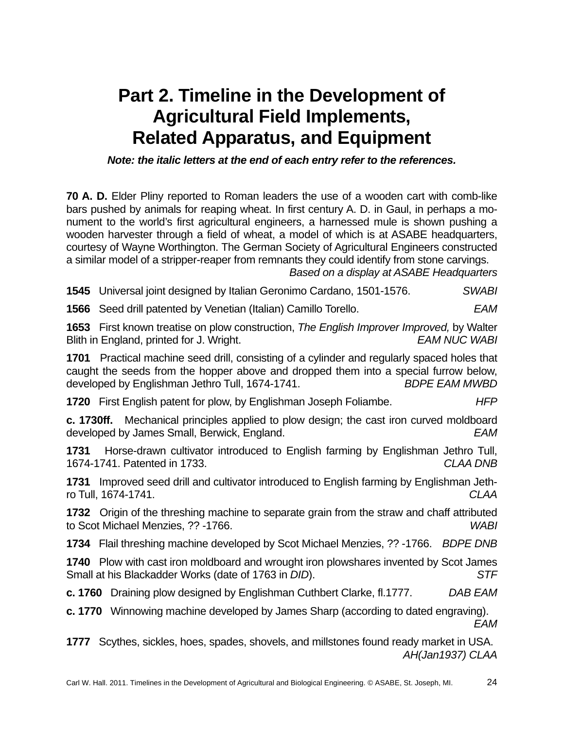## **Part 2. Timeline in the Development of Agricultural Field Implements, Related Apparatus, and Equipment**

*Note: the italic letters at the end of each entry refer to the references.* 

**70 A. D.** Elder Pliny reported to Roman leaders the use of a wooden cart with comb-like bars pushed by animals for reaping wheat. In first century A. D. in Gaul, in perhaps a monument to the world's first agricultural engineers, a harnessed mule is shown pushing a wooden harvester through a field of wheat, a model of which is at ASABE headquarters, courtesy of Wayne Worthington. The German Society of Agricultural Engineers constructed a similar model of a stripper-reaper from remnants they could identify from stone carvings.

*Based on a display at ASABE Headquarters* 

| 1545 Universal joint designed by Italian Geronimo Cardano, 1501-1576.                                                                           | <b>SWABI</b>                                                                                                   |
|-------------------------------------------------------------------------------------------------------------------------------------------------|----------------------------------------------------------------------------------------------------------------|
| <b>1566</b> Seed drill patented by Venetian (Italian) Camillo Torello.                                                                          | <b>EAM</b>                                                                                                     |
| 1653 First known treatise on plow construction, The English Improver Improved, by Walter<br>Blith in England, printed for J. Wright.            | <b>EAM NUC WABI</b>                                                                                            |
| 1701<br>caught the seeds from the hopper above and dropped them into a special furrow below,<br>developed by Englishman Jethro Tull, 1674-1741. | Practical machine seed drill, consisting of a cylinder and regularly spaced holes that<br><b>BDPE EAM MWBD</b> |
| 1720 First English patent for plow, by Englishman Joseph Foliambe.                                                                              | <b>HFP</b>                                                                                                     |
| c. 1730ff. Mechanical principles applied to plow design; the cast iron curved moldboard<br>developed by James Small, Berwick, England.          | EAM                                                                                                            |
| 1731<br>1674-1741. Patented in 1733.                                                                                                            | Horse-drawn cultivator introduced to English farming by Englishman Jethro Tull,<br><b>CLAA DNB</b>             |
| 1731<br>ro Tull, 1674-1741.                                                                                                                     | Improved seed drill and cultivator introduced to English farming by Englishman Jeth-<br><b>CLAA</b>            |
| 1732 Origin of the threshing machine to separate grain from the straw and chaff attributed<br>to Scot Michael Menzies, ?? -1766.                | <b>WABI</b>                                                                                                    |
| <b>1734</b> Flail threshing machine developed by Scot Michael Menzies, ?? -1766. BDPE DNB                                                       |                                                                                                                |
| 1740 Plow with cast iron moldboard and wrought iron plowshares invented by Scot James<br>Small at his Blackadder Works (date of 1763 in DID).   | <b>STF</b>                                                                                                     |
| c. 1760 Draining plow designed by Englishman Cuthbert Clarke, fl.1777.                                                                          | <b>DAB EAM</b>                                                                                                 |

**c. 1770** Winnowing machine developed by James Sharp (according to dated engraving). *EAM* 

**1777** Scythes, sickles, hoes, spades, shovels, and millstones found ready market in USA. *AH(Jan1937) CLAA*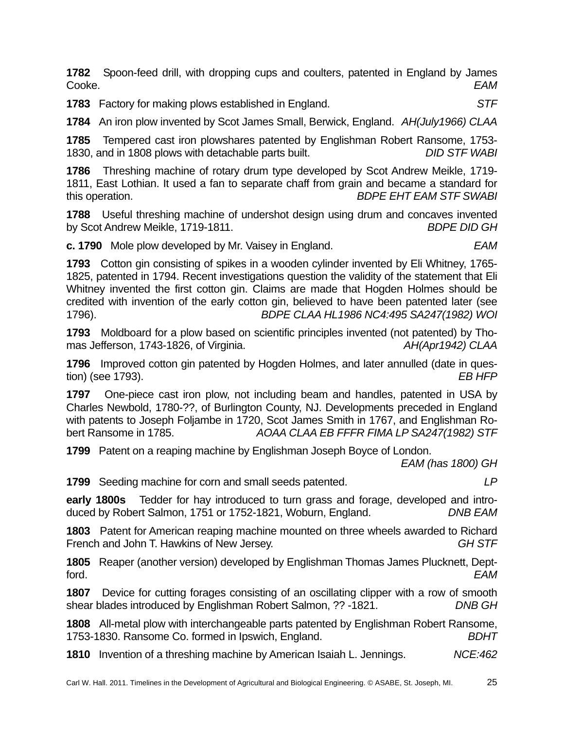**1782** Spoon-feed drill, with dropping cups and coulters, patented in England by James Cooke. *EAM* 

**1783** Factory for making plows established in England. *STF* 

**1784** An iron plow invented by Scot James Small, Berwick, England. *AH(July1966) CLAA* 

**1785** Tempered cast iron plowshares patented by Englishman Robert Ransome, 1753- 1830, and in 1808 plows with detachable parts built. *DID STF WABI*

**1786** Threshing machine of rotary drum type developed by Scot Andrew Meikle, 1719- 1811, East Lothian. It used a fan to separate chaff from grain and became a standard for this operation. *BDPE EHT EAM STF SWABI*

**1788** Useful threshing machine of undershot design using drum and concaves invented by Scot Andrew Meikle, 1719-1811. *BDPE DID GH*

**c. 1790** Mole plow developed by Mr. Vaisey in England. *EAM*

**1793** Cotton gin consisting of spikes in a wooden cylinder invented by Eli Whitney, 1765- 1825, patented in 1794. Recent investigations question the validity of the statement that Eli Whitney invented the first cotton gin. Claims are made that Hogden Holmes should be credited with invention of the early cotton gin, believed to have been patented later (see 1796). *BDPE CLAA HL1986 NC4:495 SA247(1982) WOI*

**1793** Moldboard for a plow based on scientific principles invented (not patented) by Thomas Jefferson, 1743-1826, of Virginia. *AH(Apr1942) CLAA* 

**1796** Improved cotton gin patented by Hogden Holmes, and later annulled (date in question) (see 1793). *EB HFP*

**1797** One-piece cast iron plow, not including beam and handles, patented in USA by Charles Newbold, 1780-??, of Burlington County, NJ. Developments preceded in England with patents to Joseph Foljambe in 1720, Scot James Smith in 1767, and Englishman Robert Ransome in 1785. *AOAA CLAA EB FFFR FIMA LP SA247(1982) STF* 

**1799** Patent on a reaping machine by Englishman Joseph Boyce of London.

*EAM (has 1800) GH* 

**1799** Seeding machine for corn and small seeds patented. *LP*

**early 1800s** Tedder for hay introduced to turn grass and forage, developed and introduced by Robert Salmon, 1751 or 1752-1821, Woburn, England. *DNB EAM*

**1803** Patent for American reaping machine mounted on three wheels awarded to Richard French and John T. Hawkins of New Jersey. *GH STF*

**1805** Reaper (another version) developed by Englishman Thomas James Plucknett, Deptford. *EAM*

**1807** Device for cutting forages consisting of an oscillating clipper with a row of smooth shear blades introduced by Englishman Robert Salmon, ?? -1821. *DNB GH*

**1808** All-metal plow with interchangeable parts patented by Englishman Robert Ransome, 1753-1830. Ransome Co. formed in Ipswich, England. *BDHT*

**1810** Invention of a threshing machine by American Isaiah L. Jennings. *NCE:462*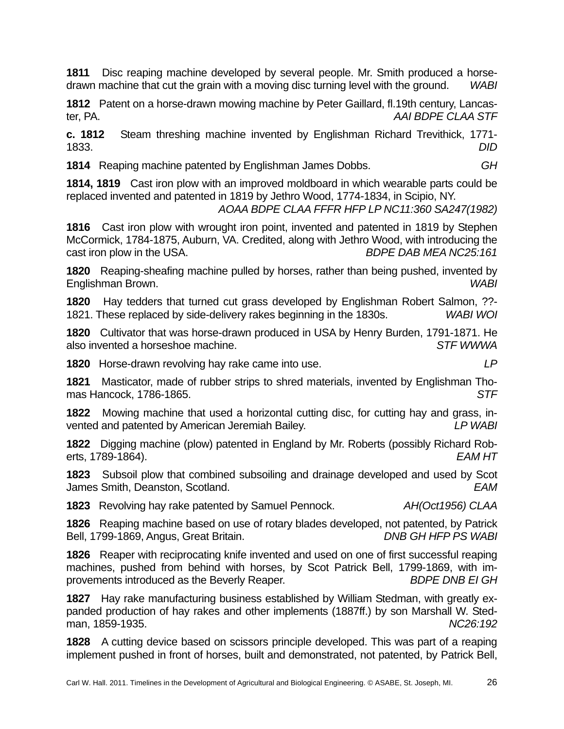**1811** Disc reaping machine developed by several people. Mr. Smith produced a horsedrawn machine that cut the grain with a moving disc turning level with the ground. *WABI*

**1812** Patent on a horse-drawn mowing machine by Peter Gaillard, fl.19th century, Lancaster, PA. *AAI BDPE CLAA STF*

**c. 1812** Steam threshing machine invented by Englishman Richard Trevithick, 1771- 1833. *DID*

**1814** Reaping machine patented by Englishman James Dobbs. *GH*

**1814, 1819** Cast iron plow with an improved moldboard in which wearable parts could be replaced invented and patented in 1819 by Jethro Wood, 1774-1834, in Scipio, NY.

*AOAA BDPE CLAA FFFR HFP LP NC11:360 SA247(1982)*

**1816** Cast iron plow with wrought iron point, invented and patented in 1819 by Stephen McCormick, 1784-1875, Auburn, VA. Credited, along with Jethro Wood, with introducing the cast iron plow in the USA. *BDPE DAB MEA NC25:161*

**1820** Reaping-sheafing machine pulled by horses, rather than being pushed, invented by Englishman Brown. *WABI*

**1820** Hay tedders that turned cut grass developed by Englishman Robert Salmon, ??- 1821. These replaced by side-delivery rakes beginning in the 1830s. *WABI WOI*

**1820** Cultivator that was horse-drawn produced in USA by Henry Burden, 1791-1871. He also invented a horseshoe machine. *STF WWWA*

**1820** Horse-drawn revolving hay rake came into use. *LP*

**1821** Masticator, made of rubber strips to shred materials, invented by Englishman Thomas Hancock, 1786-1865. *STF*

**1822** Mowing machine that used a horizontal cutting disc, for cutting hay and grass, invented and patented by American Jeremiah Bailey. *LP WABI*

**1822** Digging machine (plow) patented in England by Mr. Roberts (possibly Richard Roberts, 1789-1864). *EAM HT*

**1823** Subsoil plow that combined subsoiling and drainage developed and used by Scot James Smith, Deanston, Scotland. *EAM*

**1823** Revolving hay rake patented by Samuel Pennock. *AH(Oct1956) CLAA*

**1826** Reaping machine based on use of rotary blades developed, not patented, by Patrick Bell, 1799-1869, Angus, Great Britain. *DNB GH HFP PS WABI*

**1826** Reaper with reciprocating knife invented and used on one of first successful reaping machines, pushed from behind with horses, by Scot Patrick Bell, 1799-1869, with improvements introduced as the Beverly Reaper. *BDPE DNB EI GH*

**1827** Hay rake manufacturing business established by William Stedman, with greatly expanded production of hay rakes and other implements (1887ff.) by son Marshall W. Stedman, 1859-1935. *NC26:192*

**1828** A cutting device based on scissors principle developed. This was part of a reaping implement pushed in front of horses, built and demonstrated, not patented, by Patrick Bell,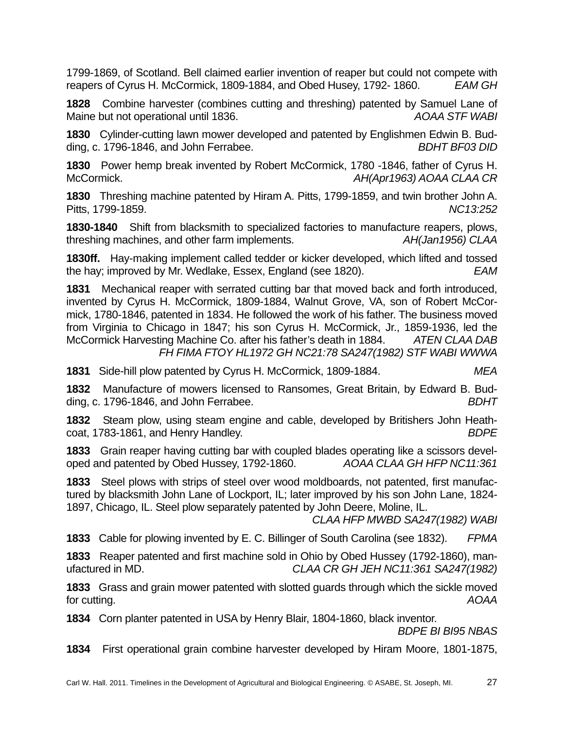1799-1869, of Scotland. Bell claimed earlier invention of reaper but could not compete with reapers of Cyrus H. McCormick, 1809-1884, and Obed Husey, 1792- 1860. *EAM GH* 

**1828** Combine harvester (combines cutting and threshing) patented by Samuel Lane of Maine but not operational until 1836. **ADAA STF WABI** 

**1830** Cylinder-cutting lawn mower developed and patented by Englishmen Edwin B. Budding, c. 1796-1846, and John Ferrabee. **BDHT BF03 DID** 

**1830** Power hemp break invented by Robert McCormick, 1780 -1846, father of Cyrus H. McCormick. *AH(Apr1963) AOAA CLAA CR*

**1830** Threshing machine patented by Hiram A. Pitts, 1799-1859, and twin brother John A. Pitts, 1799-1859. *NC13:252*

**1830-1840** Shift from blacksmith to specialized factories to manufacture reapers, plows, threshing machines, and other farm implements. *AH(Jan1956) CLAA*

**1830ff.** Hay-making implement called tedder or kicker developed, which lifted and tossed the hay; improved by Mr. Wedlake, Essex, England (see 1820). *EAM*

**1831** Mechanical reaper with serrated cutting bar that moved back and forth introduced, invented by Cyrus H. McCormick, 1809-1884, Walnut Grove, VA, son of Robert McCormick, 1780-1846, patented in 1834. He followed the work of his father. The business moved from Virginia to Chicago in 1847; his son Cyrus H. McCormick, Jr., 1859-1936, led the McCormick Harvesting Machine Co. after his father's death in 1884. *ATEN CLAA DAB FH FIMA FTOY HL1972 GH NC21:78 SA247(1982) STF WABI WWWA*

**1831** Side-hill plow patented by Cyrus H. McCormick, 1809-1884. *MEA*

**1832** Manufacture of mowers licensed to Ransomes, Great Britain, by Edward B. Budding, c. 1796-1846, and John Ferrabee. *BDHT*

**1832** Steam plow, using steam engine and cable, developed by Britishers John Heathcoat, 1783-1861, and Henry Handley. *BDPE*

**1833** Grain reaper having cutting bar with coupled blades operating like a scissors developed and patented by Obed Hussey, 1792-1860. *AOAA CLAA GH HFP NC11:361*

**1833** Steel plows with strips of steel over wood moldboards, not patented, first manufactured by blacksmith John Lane of Lockport, IL; later improved by his son John Lane, 1824- 1897, Chicago, IL. Steel plow separately patented by John Deere, Moline, IL.

*CLAA HFP MWBD SA247(1982) WABI*

**1833** Cable for plowing invented by E. C. Billinger of South Carolina (see 1832). *FPMA*

**1833** Reaper patented and first machine sold in Ohio by Obed Hussey (1792-1860), manufactured in MD. *CLAA CR GH JEH NC11:361 SA247(1982)*

**1833** Grass and grain mower patented with slotted guards through which the sickle moved for cutting. *AOAA*

**1834** Corn planter patented in USA by Henry Blair, 1804-1860, black inventor.

*BDPE BI BI95 NBAS*

**1834** First operational grain combine harvester developed by Hiram Moore, 1801-1875,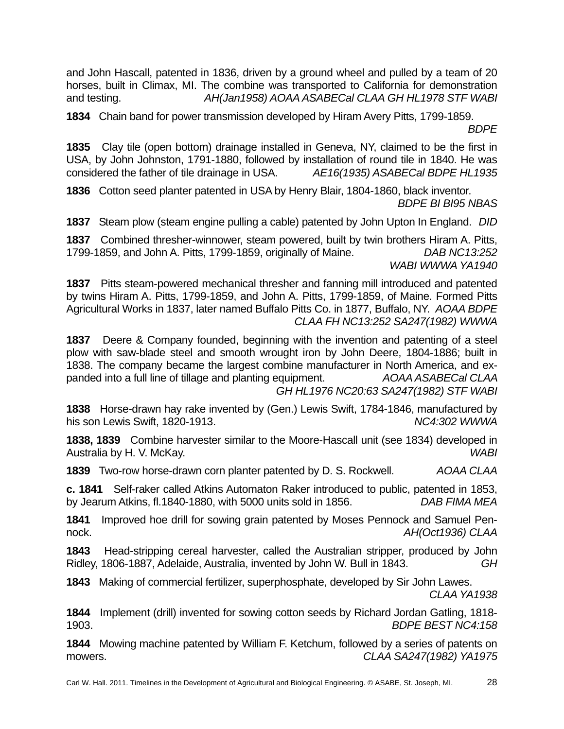and John Hascall, patented in 1836, driven by a ground wheel and pulled by a team of 20 horses, built in Climax, MI. The combine was transported to California for demonstration and testing. *AH(Jan1958) AOAA ASABECal CLAA GH HL1978 STF WABI*

**1834** Chain band for power transmission developed by Hiram Avery Pitts, 1799-1859.

*BDPE*

**1835** Clay tile (open bottom) drainage installed in Geneva, NY, claimed to be the first in USA, by John Johnston, 1791-1880, followed by installation of round tile in 1840. He was considered the father of tile drainage in USA. *AE16(1935) ASABECal BDPE HL1935* 

**1836** Cotton seed planter patented in USA by Henry Blair, 1804-1860, black inventor. *BDPE BI BI95 NBAS*

**1837** Steam plow (steam engine pulling a cable) patented by John Upton In England. *DID*

**1837** Combined thresher-winnower, steam powered, built by twin brothers Hiram A. Pitts, 1799-1859, and John A. Pitts, 1799-1859, originally of Maine. *DAB NC13:252 WABI WWWA YA1940*

**1837** Pitts steam-powered mechanical thresher and fanning mill introduced and patented by twins Hiram A. Pitts, 1799-1859, and John A. Pitts, 1799-1859, of Maine. Formed Pitts Agricultural Works in 1837, later named Buffalo Pitts Co. in 1877, Buffalo, NY. *AOAA BDPE CLAA FH NC13:252 SA247(1982) WWWA*

**1837** Deere & Company founded, beginning with the invention and patenting of a steel plow with saw-blade steel and smooth wrought iron by John Deere, 1804-1886; built in 1838. The company became the largest combine manufacturer in North America, and expanded into a full line of tillage and planting equipment. *AOAA ASABECal CLAA GH HL1976 NC20:63 SA247(1982) STF WABI*

**1838** Horse-drawn hay rake invented by (Gen.) Lewis Swift, 1784-1846, manufactured by his son Lewis Swift, 1820-1913. *NC4:302 WWWA*

**1838, 1839** Combine harvester similar to the Moore-Hascall unit (see 1834) developed in Australia by H. V. McKay. *WABI*

**1839** Two-row horse-drawn corn planter patented by D. S. Rockwell. *AOAA CLAA* 

**c. 1841** Self-raker called Atkins Automaton Raker introduced to public, patented in 1853, by Jearum Atkins, fl.1840-1880, with 5000 units sold in 1856. *DAB FIMA MEA*

**1841** Improved hoe drill for sowing grain patented by Moses Pennock and Samuel Pennock. *AH(Oct1936) CLAA*

**1843** Head-stripping cereal harvester, called the Australian stripper, produced by John Ridley, 1806-1887, Adelaide, Australia, invented by John W. Bull in 1843. *GH* 

**1843** Making of commercial fertilizer, superphosphate, developed by Sir John Lawes.

*CLAA YA1938* 

**1844** Implement (drill) invented for sowing cotton seeds by Richard Jordan Gatling, 1818- 1903. *BDPE BEST NC4:158* 

**1844** Mowing machine patented by William F. Ketchum, followed by a series of patents on mowers. *CLAA SA247(1982) YA1975*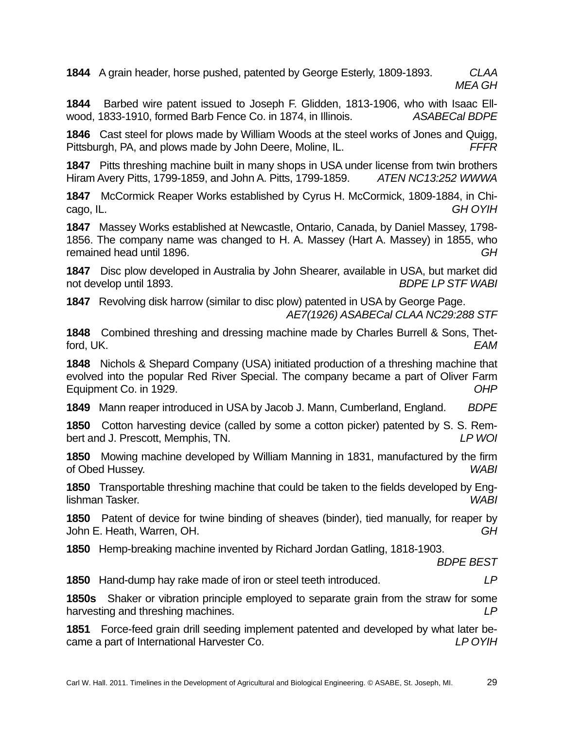**1844** A grain header, horse pushed, patented by George Esterly, 1809-1893. *CLAA MEA GH* 

**1844** Barbed wire patent issued to Joseph F. Glidden, 1813-1906, who with Isaac Ellwood, 1833-1910, formed Barb Fence Co. in 1874, in Illinois. *ASABECal BDPE*

**1846** Cast steel for plows made by William Woods at the steel works of Jones and Quigg, Pittsburgh, PA, and plows made by John Deere, Moline, IL. *FFFR* 

**1847** Pitts threshing machine built in many shops in USA under license from twin brothers Hiram Avery Pitts, 1799-1859, and John A. Pitts, 1799-1859. *ATEN NC13:252 WWWA* 

**1847** McCormick Reaper Works established by Cyrus H. McCormick, 1809-1884, in Chicago, IL. *GH OYIH* 

**1847** Massey Works established at Newcastle, Ontario, Canada, by Daniel Massey, 1798- 1856. The company name was changed to H. A. Massey (Hart A. Massey) in 1855, who remained head until 1896. *GH* 

**1847** Disc plow developed in Australia by John Shearer, available in USA, but market did not develop until 1893. *BDPE LP STF WABI*

**1847** Revolving disk harrow (similar to disc plow) patented in USA by George Page. *AE7(1926) ASABECal CLAA NC29:288 STF*

**1848** Combined threshing and dressing machine made by Charles Burrell & Sons, Thetford, UK. *EAM*

**1848** Nichols & Shepard Company (USA) initiated production of a threshing machine that evolved into the popular Red River Special. The company became a part of Oliver Farm Equipment Co. in 1929. *OHP*

**1849** Mann reaper introduced in USA by Jacob J. Mann, Cumberland, England. *BDPE* 

**1850** Cotton harvesting device (called by some a cotton picker) patented by S. S. Rembert and J. Prescott, Memphis, TN. *LP WOI* 

**1850** Mowing machine developed by William Manning in 1831, manufactured by the firm of Obed Hussey. *WABI*

**1850** Transportable threshing machine that could be taken to the fields developed by Englishman Tasker. *WABI* 

**1850** Patent of device for twine binding of sheaves (binder), tied manually, for reaper by John E. Heath, Warren, OH. *GH*

**1850** Hemp-breaking machine invented by Richard Jordan Gatling, 1818-1903.

*BDPE BEST* 

**1850** Hand-dump hay rake made of iron or steel teeth introduced. *LP*

**1850s** Shaker or vibration principle employed to separate grain from the straw for some harvesting and threshing machines. *LP* 

**1851** Force-feed grain drill seeding implement patented and developed by what later became a part of International Harvester Co. *LP OYIH*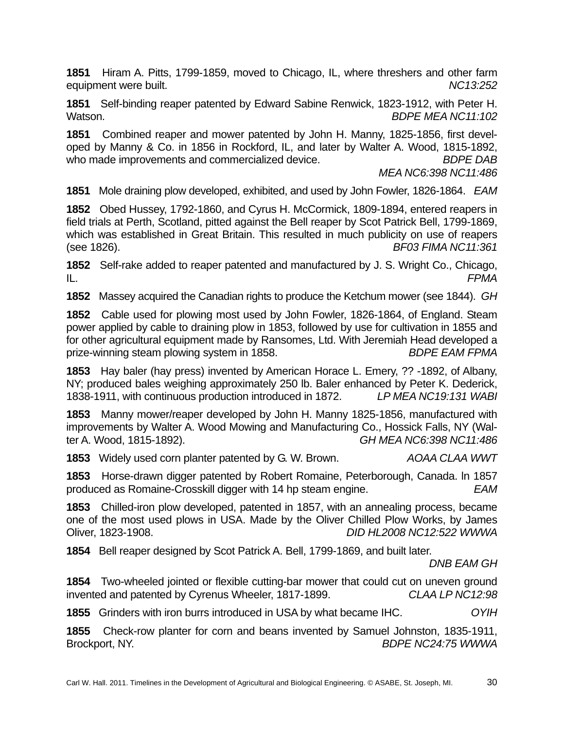**1851** Hiram A. Pitts, 1799-1859, moved to Chicago, IL, where threshers and other farm equipment were built. *NC13:252* 

**1851** Self-binding reaper patented by Edward Sabine Renwick, 1823-1912, with Peter H. Watson. *BDPE MEA NC11:102*

**1851** Combined reaper and mower patented by John H. Manny, 1825-1856, first developed by Manny & Co. in 1856 in Rockford, IL, and later by Walter A. Wood, 1815-1892, who made improvements and commercialized device. *BDPE DAB* 

 *MEA NC6:398 NC11:486*

**1851** Mole draining plow developed, exhibited, and used by John Fowler, 1826-1864. *EAM*

**1852** Obed Hussey, 1792-1860, and Cyrus H. McCormick, 1809-1894, entered reapers in field trials at Perth, Scotland, pitted against the Bell reaper by Scot Patrick Bell, 1799-1869, which was established in Great Britain. This resulted in much publicity on use of reapers (see 1826). *BF03 FIMA NC11:361*

**1852** Self-rake added to reaper patented and manufactured by J. S. Wright Co., Chicago, IL. *FPMA*

**1852** Massey acquired the Canadian rights to produce the Ketchum mower (see 1844). *GH*

**1852** Cable used for plowing most used by John Fowler, 1826-1864, of England. Steam power applied by cable to draining plow in 1853, followed by use for cultivation in 1855 and for other agricultural equipment made by Ransomes, Ltd. With Jeremiah Head developed a prize-winning steam plowing system in 1858. *BDPE EAM FPMA*

**1853** Hay baler (hay press) invented by American Horace L. Emery, ?? -1892, of Albany, NY; produced bales weighing approximately 250 lb. Baler enhanced by Peter K. Dederick, 1838-1911, with continuous production introduced in 1872. *LP MEA NC19:131 WABI*

**1853** Manny mower/reaper developed by John H. Manny 1825-1856, manufactured with improvements by Walter A. Wood Mowing and Manufacturing Co., Hossick Falls, NY (Walter A. Wood, 1815-1892). *GH MEA NC6:398 NC11:486*

**1853** Widely used corn planter patented by G. W. Brown. *AOAA CLAA WWT* 

**1853** Horse-drawn digger patented by Robert Romaine, Peterborough, Canada. ln 1857 produced as Romaine-Crosskill digger with 14 hp steam engine. *EAM*

**1853** Chilled-iron plow developed, patented in 1857, with an annealing process, became one of the most used plows in USA. Made by the Oliver Chilled Plow Works, by James Oliver, 1823-1908. *DID HL2008 NC12:522 WWWA*

**1854** Bell reaper designed by Scot Patrick A. Bell, 1799-1869, and built later.

*DNB EAM GH*

**1854** Two-wheeled jointed or flexible cutting-bar mower that could cut on uneven ground invented and patented by Cyrenus Wheeler, 1817-1899. *CLAA LP NC12:98*

**1855** Grinders with iron burrs introduced in USA by what became IHC. *OYIH*

**1855** Check-row planter for corn and beans invented by Samuel Johnston, 1835-1911, Brockport, NY. *BDPE NC24:75 WWWA*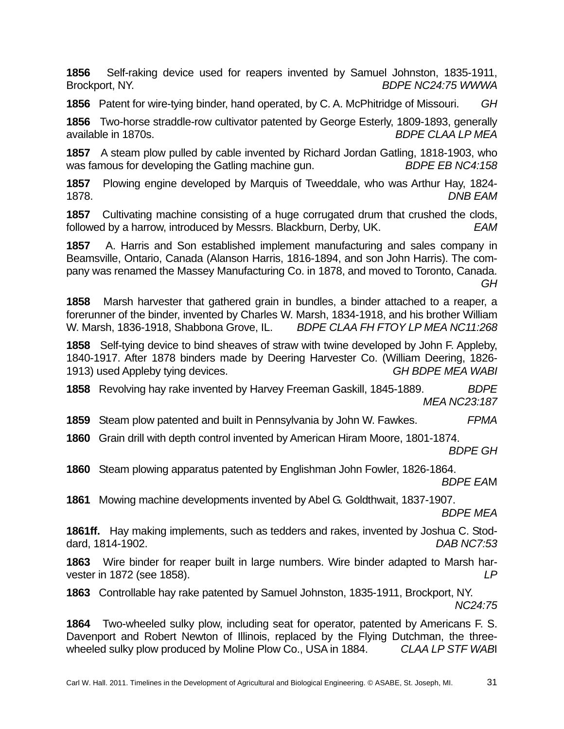**1856** Self-raking device used for reapers invented by Samuel Johnston, 1835-1911, Brockport, NY. *BDPE NC24:75 WWWA*

**1856** Patent for wire-tying binder, hand operated, by C. A. McPhitridge of Missouri. *GH*

**1856** Two-horse straddle-row cultivator patented by George Esterly, 1809-1893, generally available in 1870s. *BDPE CLAA LP MEA*

**1857** A steam plow pulled by cable invented by Richard Jordan Gatling, 1818-1903, who was famous for developing the Gatling machine gun. *BDPE EB NC4:158*

**1857** Plowing engine developed by Marquis of Tweeddale, who was Arthur Hay, 1824- 1878. *DNB EAM* 

**1857** Cultivating machine consisting of a huge corrugated drum that crushed the clods, followed by a harrow, introduced by Messrs. Blackburn, Derby, UK. *EAM* 

**1857** A. Harris and Son established implement manufacturing and sales company in Beamsville, Ontario, Canada (Alanson Harris, 1816-1894, and son John Harris). The company was renamed the Massey Manufacturing Co. in 1878, and moved to Toronto, Canada. *GH* 

**1858** Marsh harvester that gathered grain in bundles, a binder attached to a reaper, a forerunner of the binder, invented by Charles W. Marsh, 1834-1918, and his brother William W. Marsh, 1836-1918, Shabbona Grove, IL. *BDPE CLAA FH FTOY LP MEA NC11:268* 

**1858** Self-tying device to bind sheaves of straw with twine developed by John F. Appleby, 1840-1917. After 1878 binders made by Deering Harvester Co. (William Deering, 1826- 1913) used Appleby tying devices. *GH BDPE MEA WABI*

**1858** Revolving hay rake invented by Harvey Freeman Gaskill, 1845-1889. *BDPE MEA NC23:187*

**1859** Steam plow patented and built in Pennsylvania by John W. Fawkes. *FPMA*

**1860** Grain drill with depth control invented by American Hiram Moore, 1801-1874.

*BDPE GH*

**1860** Steam plowing apparatus patented by Englishman John Fowler, 1826-1864. *BDPE EA*M

**1861** Mowing machine developments invented by Abel G. Goldthwait, 1837-1907. *BDPE MEA*

**1861ff.** Hay making implements, such as tedders and rakes, invented by Joshua C. Stoddard, 1814-1902. *DAB NC7:53*

**1863** Wire binder for reaper built in large numbers. Wire binder adapted to Marsh harvester in 1872 (see 1858). *LP*

**1863** Controllable hay rake patented by Samuel Johnston, 1835-1911, Brockport, NY. *NC24:75*

**1864** Two-wheeled sulky plow, including seat for operator, patented by Americans F. S. Davenport and Robert Newton of Illinois, replaced by the Flying Dutchman, the threewheeled sulky plow produced by Moline Plow Co., USA in 1884. *CLAA LP STF WAB*I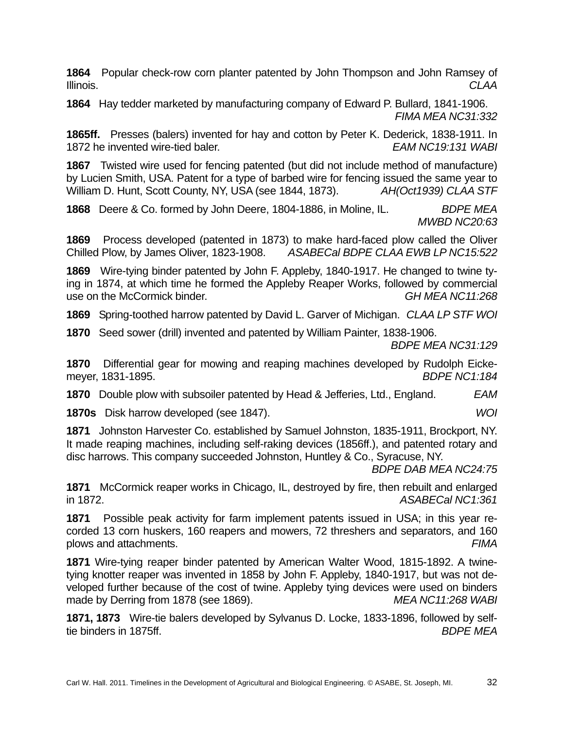**1864** Popular check-row corn planter patented by John Thompson and John Ramsey of Illinois. *CLAA*

**1864** Hay tedder marketed by manufacturing company of Edward P. Bullard, 1841-1906. *FIMA MEA NC31:332*

**1865ff.** Presses (balers) invented for hay and cotton by Peter K. Dederick, 1838-1911. In 1872 he invented wire-tied baler. *EAM NC19:131 WABI*

**1867** Twisted wire used for fencing patented (but did not include method of manufacture) by Lucien Smith, USA. Patent for a type of barbed wire for fencing issued the same year to William D. Hunt, Scott County, NY, USA (see 1844, 1873). *AH(Oct1939) CLAA STF*

**1868** Deere & Co. formed by John Deere, 1804-1886, in Moline, IL. BDPE MEA *MWBD NC20:63*

**1869** Process developed (patented in 1873) to make hard-faced plow called the Oliver Chilled Plow, by James Oliver, 1823-1908. *ASABECal BDPE CLAA EWB LP NC15:522*

**1869** Wire-tying binder patented by John F. Appleby, 1840-1917. He changed to twine tying in 1874, at which time he formed the Appleby Reaper Works, followed by commercial use on the McCormick binder. *GH MEA NC11:268*

**1869** Spring-toothed harrow patented by David L. Garver of Michigan. *CLAA LP STF WOI*

**1870** Seed sower (drill) invented and patented by William Painter, 1838-1906. *BDPE MEA NC31:129*

**1870** Differential gear for mowing and reaping machines developed by Rudolph Eickemeyer, 1831-1895. *BDPE NC1:184*

**1870** Double plow with subsoiler patented by Head & Jefferies, Ltd., England. *EAM*

**1870s** Disk harrow developed (see 1847). *WOI*

**1871** Johnston Harvester Co. established by Samuel Johnston, 1835-1911, Brockport, NY. It made reaping machines, including self-raking devices (1856ff.), and patented rotary and disc harrows. This company succeeded Johnston, Huntley & Co., Syracuse, NY.

*BDPE DAB MEA NC24:75*

**1871** McCormick reaper works in Chicago, IL, destroyed by fire, then rebuilt and enlarged in 1872. *ASABECal NC1:361*

**1871** Possible peak activity for farm implement patents issued in USA; in this year recorded 13 corn huskers, 160 reapers and mowers, 72 threshers and separators, and 160 plows and attachments. *FIMA*

**1871** Wire-tying reaper binder patented by American Walter Wood, 1815-1892. A twinetying knotter reaper was invented in 1858 by John F. Appleby, 1840-1917, but was not developed further because of the cost of twine. Appleby tying devices were used on binders made by Derring from 1878 (see 1869). *MEA NC11:268 WABI*

**1871, 1873** Wire-tie balers developed by Sylvanus D. Locke, 1833-1896, followed by selftie binders in 1875ff. *BDPE MEA*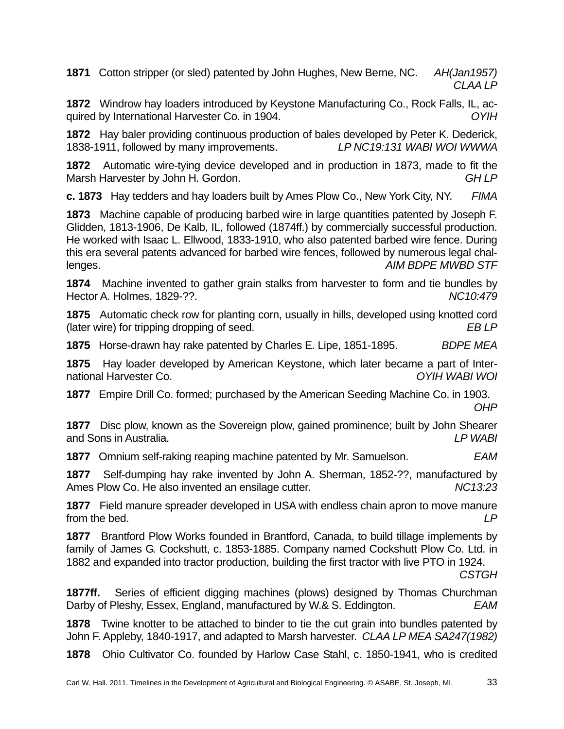**1871** Cotton stripper (or sled) patented by John Hughes, New Berne, NC. *AH(Jan1957) CLAA LP*

**1872** Windrow hay loaders introduced by Keystone Manufacturing Co., Rock Falls, IL, acquired by International Harvester Co. in 1904. *OYIH*

**1872** Hay baler providing continuous production of bales developed by Peter K. Dederick, 1838-1911, followed by many improvements. *LP NC19:131 WABI WOI WWWA*

**1872** Automatic wire-tying device developed and in production in 1873, made to fit the Marsh Harvester by John H. Gordon. **GH LP GH LP** 

**c. 1873** Hay tedders and hay loaders built by Ames Plow Co., New York City, NY. *FIMA*

**1873** Machine capable of producing barbed wire in large quantities patented by Joseph F. Glidden, 1813-1906, De Kalb, IL, followed (1874ff.) by commercially successful production. He worked with Isaac L. Ellwood, 1833-1910, who also patented barbed wire fence. During this era several patents advanced for barbed wire fences, followed by numerous legal challenges. *AIM BDPE MWBD STF*

**1874** Machine invented to gather grain stalks from harvester to form and tie bundles by Hector A. Holmes, 1829-??. *NC10:479*

**1875** Automatic check row for planting corn, usually in hills, developed using knotted cord (later wire) for tripping dropping of seed. *EB LP*

**1875** Horse-drawn hay rake patented by Charles E. Lipe, 1851-1895. *BDPE MEA*

**1875** Hay loader developed by American Keystone, which later became a part of International Harvester Co. *OYIH WABI WOI*

**1877** Empire Drill Co. formed; purchased by the American Seeding Machine Co. in 1903. *OHP*

**1877** Disc plow, known as the Sovereign plow, gained prominence; built by John Shearer and Sons in Australia. *LP WABI*

**1877** Omnium self-raking reaping machine patented by Mr. Samuelson. *EAM*

**1877** Self-dumping hay rake invented by John A. Sherman, 1852-??, manufactured by Ames Plow Co. He also invented an ensilage cutter. *NC13:23* 

**1877** Field manure spreader developed in USA with endless chain apron to move manure from the bed. **LP** 

**1877** Brantford Plow Works founded in Brantford, Canada, to build tillage implements by family of James G. Cockshutt, c. 1853-1885. Company named Cockshutt Plow Co. Ltd. in 1882 and expanded into tractor production, building the first tractor with live PTO in 1924.

*CSTGH*

**1877ff.** Series of efficient digging machines (plows) designed by Thomas Churchman Darby of Pleshy, Essex, England, manufactured by W.& S. Eddington. *EAM* 

**1878** Twine knotter to be attached to binder to tie the cut grain into bundles patented by John F. Appleby, 1840-1917, and adapted to Marsh harvester. *CLAA LP MEA SA247(1982)* 

**1878** Ohio Cultivator Co. founded by Harlow Case Stahl, c. 1850-1941, who is credited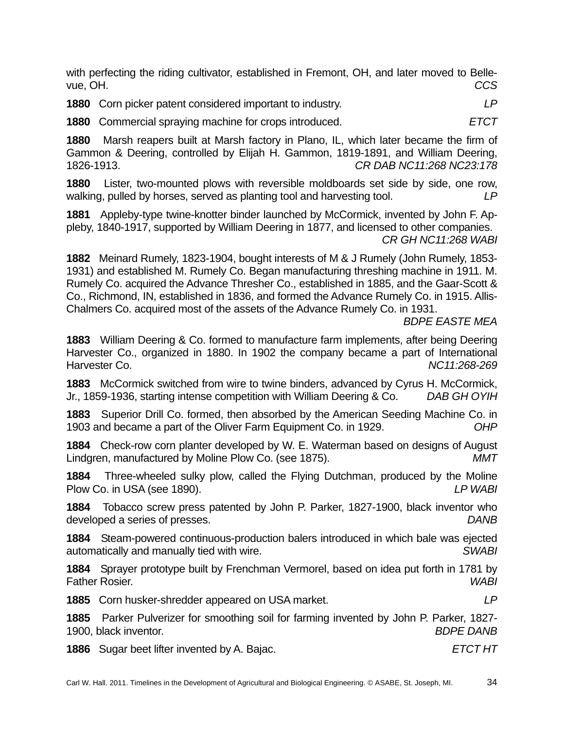with perfecting the riding cultivator, established in Fremont, OH, and later moved to Bellevue, OH. *CCS* 

**1880** Corn picker patent considered important to industry. *LP*

**1880** Commercial spraying machine for crops introduced. *ETCT* 

**1880** Marsh reapers built at Marsh factory in Plano, IL, which later became the firm of Gammon & Deering, controlled by Elijah H. Gammon, 1819-1891, and William Deering, 1826-1913. *CR DAB NC11:268 NC23:178*

**1880** Lister, two-mounted plows with reversible moldboards set side by side, one row, walking, pulled by horses, served as planting tool and harvesting tool. *LP*

**1881** Appleby-type twine-knotter binder launched by McCormick, invented by John F. Appleby, 1840-1917, supported by William Deering in 1877, and licensed to other companies. *CR GH NC11:268 WABI*

**1882** Meinard Rumely, 1823-1904, bought interests of M & J Rumely (John Rumely, 1853- 1931) and established M. Rumely Co. Began manufacturing threshing machine in 1911. M. Rumely Co. acquired the Advance Thresher Co., established in 1885, and the Gaar-Scott & Co., Richmond, IN, established in 1836, and formed the Advance Rumely Co. in 1915. Allis-Chalmers Co. acquired most of the assets of the Advance Rumely Co. in 1931.

*BDPE EASTE MEA*

**1883** William Deering & Co. formed to manufacture farm implements, after being Deering Harvester Co., organized in 1880. In 1902 the company became a part of International Harvester Co. *NC11:268-269*

**1883** McCormick switched from wire to twine binders, advanced by Cyrus H. McCormick, Jr., 1859-1936, starting intense competition with William Deering & Co. *DAB GH OYIH*

**1883** Superior Drill Co. formed, then absorbed by the American Seeding Machine Co. in 1903 and became a part of the Oliver Farm Equipment Co. in 1929. *OHP*

**1884** Check-row corn planter developed by W. E. Waterman based on designs of August Lindgren, manufactured by Moline Plow Co. (see 1875). *MMT*

**1884** Three-wheeled sulky plow, called the Flying Dutchman, produced by the Moline Plow Co. in USA (see 1890). *LP WABI*

**1884** Tobacco screw press patented by John P. Parker, 1827-1900, black inventor who developed a series of presses. *DANB*

**1884** Steam-powered continuous-production balers introduced in which bale was ejected automatically and manually tied with wire. *SWABI*

**1884** Sprayer prototype built by Frenchman Vermorel, based on idea put forth in 1781 by Father Rosier. *WABI*

**1885** Corn husker-shredder appeared on USA market. *LP*

**1885** Parker Pulverizer for smoothing soil for farming invented by John P. Parker, 1827- 1900, black inventor. *BDPE DANB*

**1886** Sugar beet lifter invented by A. Bajac. *ETCT HT*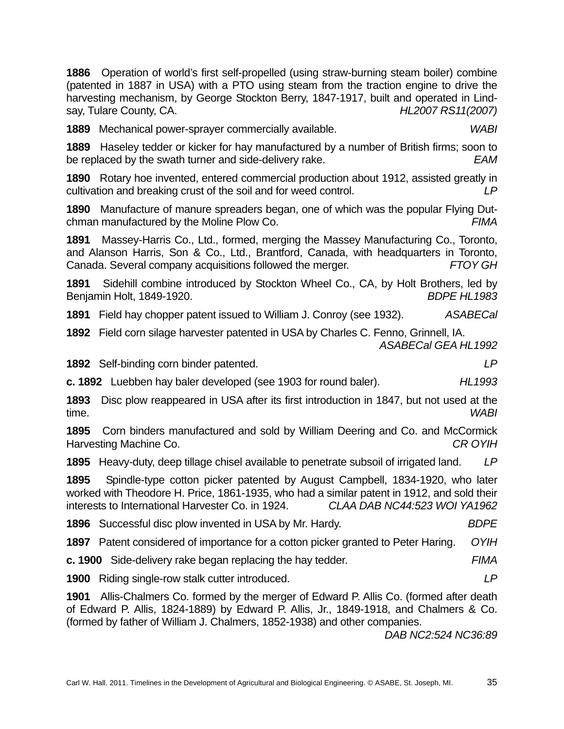**1886** Operation of world's first self-propelled (using straw-burning steam boiler) combine (patented in 1887 in USA) with a PTO using steam from the traction engine to drive the harvesting mechanism, by George Stockton Berry, 1847-1917, built and operated in Lindsay, Tulare County, CA. *HL2007 RS11(2007)*

**1889** Mechanical power-sprayer commercially available. *WABI*

**1889** Haseley tedder or kicker for hay manufactured by a number of British firms; soon to be replaced by the swath turner and side-delivery rake. *EAM*

**1890** Rotary hoe invented, entered commercial production about 1912, assisted greatly in cultivation and breaking crust of the soil and for weed control. *LP*

**1890** Manufacture of manure spreaders began, one of which was the popular Flying Dutchman manufactured by the Moline Plow Co. *FIMA*

**1891** Massey-Harris Co., Ltd., formed, merging the Massey Manufacturing Co., Toronto, and Alanson Harris, Son & Co., Ltd., Brantford, Canada, with headquarters in Toronto, Canada. Several company acquisitions followed the merger. *FTOY GH*

**1891** Sidehill combine introduced by Stockton Wheel Co., CA, by Holt Brothers, led by Benjamin Holt, 1849-1920. *BDPE HL1983*

**1891** Field hay chopper patent issued to William J. Conroy (see 1932). *ASABECal*

**1892** Field corn silage harvester patented in USA by Charles C. Fenno, Grinnell, IA. *ASABECal GEA HL1992*

**1892** Self-binding corn binder patented. *LP*

**c. 1892** Luebben hay baler developed (see 1903 for round baler). *HL1993*

**1893** Disc plow reappeared in USA after its first introduction in 1847, but not used at the time. *WABI*

**1895** Corn binders manufactured and sold by William Deering and Co. and McCormick Harvesting Machine Co. *CR OYIH*

**1895** Heavy-duty, deep tillage chisel available to penetrate subsoil of irrigated land. *LP*

**1895** Spindle-type cotton picker patented by August Campbell, 1834-1920, who later worked with Theodore H. Price, 1861-1935, who had a similar patent in 1912, and sold their interests to International Harvester Co. in 1924. *CLAA DAB NC44:523 WOI YA1962*

**1896** Successful disc plow invented in USA by Mr. Hardy. *BDPE*

**1897** Patent considered of importance for a cotton picker granted to Peter Haring. *OYIH*

**c. 1900** Side-delivery rake began replacing the hay tedder. *FIMA*

**1900** Riding single-row stalk cutter introduced. *LP*

**1901** Allis-Chalmers Co. formed by the merger of Edward P. Allis Co. (formed after death of Edward P. Allis, 1824-1889) by Edward P. Allis, Jr., 1849-1918, and Chalmers & Co. (formed by father of William J. Chalmers, 1852-1938) and other companies.

*DAB NC2:524 NC36:89*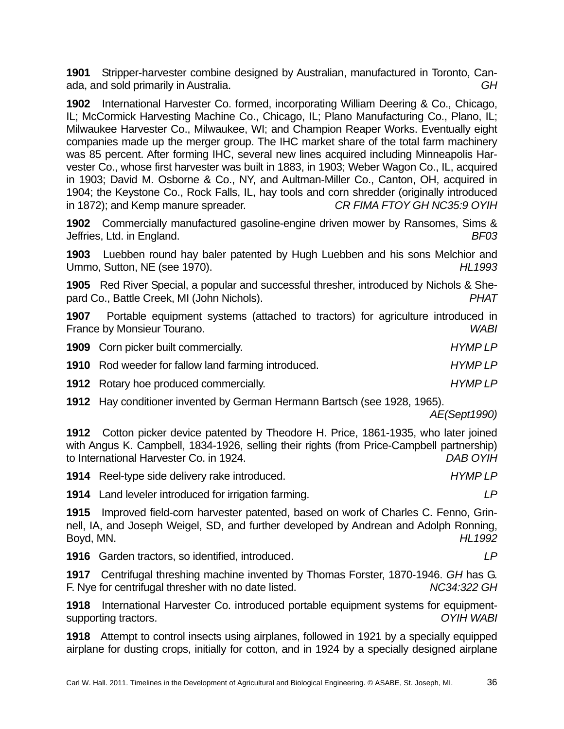**1901** Stripper-harvester combine designed by Australian, manufactured in Toronto, Canada, and sold primarily in Australia. *GH*

**1902** International Harvester Co. formed, incorporating William Deering & Co., Chicago, IL; McCormick Harvesting Machine Co., Chicago, IL; Plano Manufacturing Co., Plano, IL; Milwaukee Harvester Co., Milwaukee, WI; and Champion Reaper Works. Eventually eight companies made up the merger group. The IHC market share of the total farm machinery was 85 percent. After forming IHC, several new lines acquired including Minneapolis Harvester Co., whose first harvester was built in 1883, in 1903; Weber Wagon Co., IL, acquired in 1903; David M. Osborne & Co., NY, and Aultman-Miller Co., Canton, OH, acquired in 1904; the Keystone Co., Rock Falls, IL, hay tools and corn shredder (originally introduced in 1872); and Kemp manure spreader. *CR FIMA FTOY GH NC35:9 OYIH* 

**1902** Commercially manufactured gasoline-engine driven mower by Ransomes, Sims & Jeffries, Ltd. in England. *BF03*

**1903** Luebben round hay baler patented by Hugh Luebben and his sons Melchior and Ummo, Sutton, NE (see 1970). *HL1993*

**1905** Red River Special, a popular and successful thresher, introduced by Nichols & Shepard Co., Battle Creek, MI (John Nichols). *PHAT*

**1907** Portable equipment systems (attached to tractors) for agriculture introduced in France by Monsieur Tourano. *WABI*

| <b>1909</b> Corn picker built commercially.                | <b>HYMPLP</b> |
|------------------------------------------------------------|---------------|
| <b>1910</b> Rod weeder for fallow land farming introduced. | <b>HYMPLP</b> |
| <b>1912</b> Rotary hoe produced commercially.              | <b>HYMPLP</b> |

**1912** Hay conditioner invented by German Hermann Bartsch (see 1928, 1965).

*AE(Sept1990)*

**1912** Cotton picker device patented by Theodore H. Price, 1861-1935, who later joined with Angus K. Campbell, 1834-1926, selling their rights (from Price-Campbell partnership) to International Harvester Co. in 1924. *DAB OYIH*

**1914** Reel-type side delivery rake introduced. *HYMP LP*

**1914** Land leveler introduced for irrigation farming. *LP*

**1915** Improved field-corn harvester patented, based on work of Charles C. Fenno, Grinnell, IA, and Joseph Weigel, SD, and further developed by Andrean and Adolph Ronning, Boyd, MN. *HL1992* 

**1916** Garden tractors, so identified, introduced. *LP*

**1917** Centrifugal threshing machine invented by Thomas Forster, 1870-1946. *GH* has G. F. Nye for centrifugal thresher with no date listed. *NC34:322 GH* 

**1918** International Harvester Co. introduced portable equipment systems for equipmentsupporting tractors. *OYIH WABI*

**1918** Attempt to control insects using airplanes, followed in 1921 by a specially equipped airplane for dusting crops, initially for cotton, and in 1924 by a specially designed airplane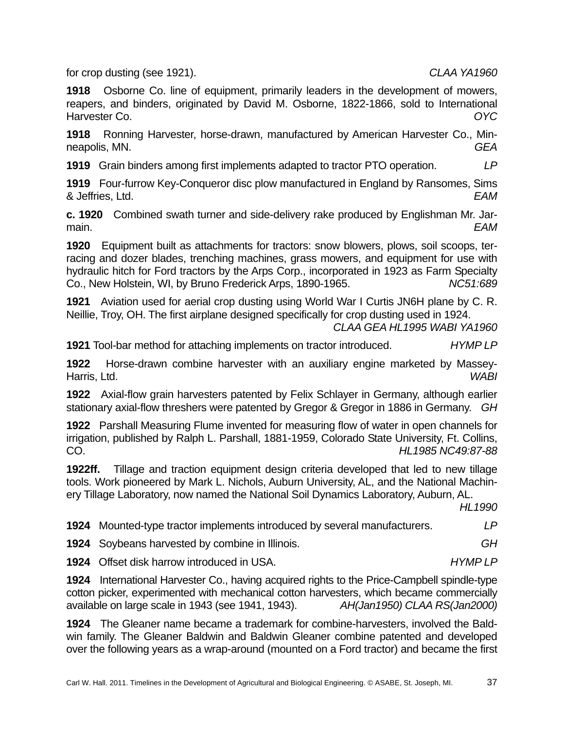for crop dusting (see 1921). *CLAA YA1960*

**1918** Osborne Co. line of equipment, primarily leaders in the development of mowers, reapers, and binders, originated by David M. Osborne, 1822-1866, sold to International Harvester Co. *OYC*

**1918** Ronning Harvester, horse-drawn, manufactured by American Harvester Co., Minneapolis, MN. *GEA*

**1919** Grain binders among first implements adapted to tractor PTO operation. *LP*

**1919** Four-furrow Key-Conqueror disc plow manufactured in England by Ransomes, Sims & Jeffries, Ltd. *EAM*

**c. 1920** Combined swath turner and side-delivery rake produced by Englishman Mr. Jarmain. *EAM*

**1920** Equipment built as attachments for tractors: snow blowers, plows, soil scoops, terracing and dozer blades, trenching machines, grass mowers, and equipment for use with hydraulic hitch for Ford tractors by the Arps Corp., incorporated in 1923 as Farm Specialty Co., New Holstein, WI, by Bruno Frederick Arps, 1890-1965. *NC51:689*

**1921** Aviation used for aerial crop dusting using World War I Curtis JN6H plane by C. R. Neillie, Troy, OH. The first airplane designed specifically for crop dusting used in 1924.

*CLAA GEA HL1995 WABI YA1960*

**1921** Tool-bar method for attaching implements on tractor introduced. *HYMP LP*

**1922** Horse-drawn combine harvester with an auxiliary engine marketed by Massey-Harris, Ltd. *WABI*

**1922** Axial-flow grain harvesters patented by Felix Schlayer in Germany, although earlier stationary axial-flow threshers were patented by Gregor & Gregor in 1886 in Germany. *GH*

**1922** Parshall Measuring Flume invented for measuring flow of water in open channels for irrigation, published by Ralph L. Parshall, 1881-1959, Colorado State University, Ft. Collins, CO. *HL1985 NC49:87-88*

**1922ff.** Tillage and traction equipment design criteria developed that led to new tillage tools. Work pioneered by Mark L. Nichols, Auburn University, AL, and the National Machinery Tillage Laboratory, now named the National Soil Dynamics Laboratory, Auburn, AL.

*HL1990*

| 1924 Mounted-type tractor implements introduced by several manufacturers. | LP |
|---------------------------------------------------------------------------|----|
|---------------------------------------------------------------------------|----|

**1924** Soybeans harvested by combine in Illinois. *GH*

**1924** Offset disk harrow introduced in USA. *HYMP LP*

**1924** International Harvester Co., having acquired rights to the Price-Campbell spindle-type cotton picker, experimented with mechanical cotton harvesters, which became commercially available on large scale in 1943 (see 1941, 1943). *AH(Jan1950) CLAA RS(Jan2000)*

**1924** The Gleaner name became a trademark for combine-harvesters, involved the Baldwin family. The Gleaner Baldwin and Baldwin Gleaner combine patented and developed over the following years as a wrap-around (mounted on a Ford tractor) and became the first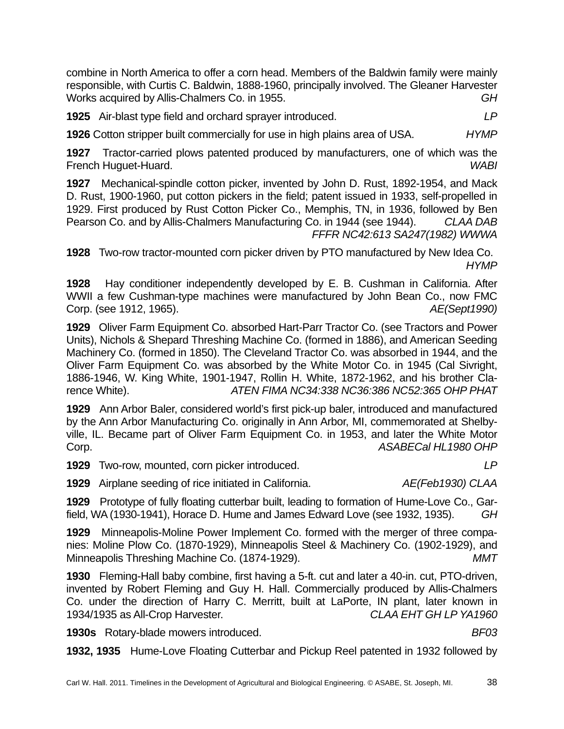combine in North America to offer a corn head. Members of the Baldwin family were mainly responsible, with Curtis C. Baldwin, 1888-1960, principally involved. The Gleaner Harvester Works acquired by Allis-Chalmers Co. in 1955. *GH*

**1925** Air-blast type field and orchard sprayer introduced. *LP*

**1926** Cotton stripper built commercially for use in high plains area of USA. *HYMP*

**1927** Tractor-carried plows patented produced by manufacturers, one of which was the French Huguet-Huard. *WABI*

**1927** Mechanical-spindle cotton picker, invented by John D. Rust, 1892-1954, and Mack D. Rust, 1900-1960, put cotton pickers in the field; patent issued in 1933, self-propelled in 1929. First produced by Rust Cotton Picker Co., Memphis, TN, in 1936, followed by Ben Pearson Co. and by Allis-Chalmers Manufacturing Co. in 1944 (see 1944). *CLAA DAB FFFR NC42:613 SA247(1982) WWWA* 

**1928** Two-row tractor-mounted corn picker driven by PTO manufactured by New Idea Co. *HYMP*

**1928** Hay conditioner independently developed by E. B. Cushman in California. After WWII a few Cushman-type machines were manufactured by John Bean Co., now FMC Corp. (see 1912, 1965). *AE(Sept1990)*

**1929** Oliver Farm Equipment Co. absorbed Hart-Parr Tractor Co. (see Tractors and Power Units), Nichols & Shepard Threshing Machine Co. (formed in 1886), and American Seeding Machinery Co. (formed in 1850). The Cleveland Tractor Co. was absorbed in 1944, and the Oliver Farm Equipment Co. was absorbed by the White Motor Co. in 1945 (Cal Sivright, 1886-1946, W. King White, 1901-1947, Rollin H. White, 1872-1962, and his brother Clarence White). *ATEN FIMA NC34:338 NC36:386 NC52:365 OHP PHAT*

**1929** Ann Arbor Baler, considered world's first pick-up baler, introduced and manufactured by the Ann Arbor Manufacturing Co. originally in Ann Arbor, MI, commemorated at Shelbyville, IL. Became part of Oliver Farm Equipment Co. in 1953, and later the White Motor Corp. *ASABECal HL1980 OHP*

**1929** Two-row, mounted, corn picker introduced. *LP*

**1929** Airplane seeding of rice initiated in California. *AE(Feb1930) CLAA*

**1929** Prototype of fully floating cutterbar built, leading to formation of Hume-Love Co., Garfield, WA (1930-1941), Horace D. Hume and James Edward Love (see 1932, 1935). *GH*

**1929** Minneapolis-Moline Power Implement Co. formed with the merger of three companies: Moline Plow Co. (1870-1929), Minneapolis Steel & Machinery Co. (1902-1929), and Minneapolis Threshing Machine Co. (1874-1929). *MMT*

**1930** Fleming-Hall baby combine, first having a 5-ft. cut and later a 40-in. cut, PTO-driven, invented by Robert Fleming and Guy H. Hall. Commercially produced by Allis-Chalmers Co. under the direction of Harry C. Merritt, built at LaPorte, IN plant, later known in 1934/1935 as All-Crop Harvester. *CLAA EHT GH LP YA1960*

**1930s** Rotary-blade mowers introduced. *BF03*

**1932, 1935** Hume-Love Floating Cutterbar and Pickup Reel patented in 1932 followed by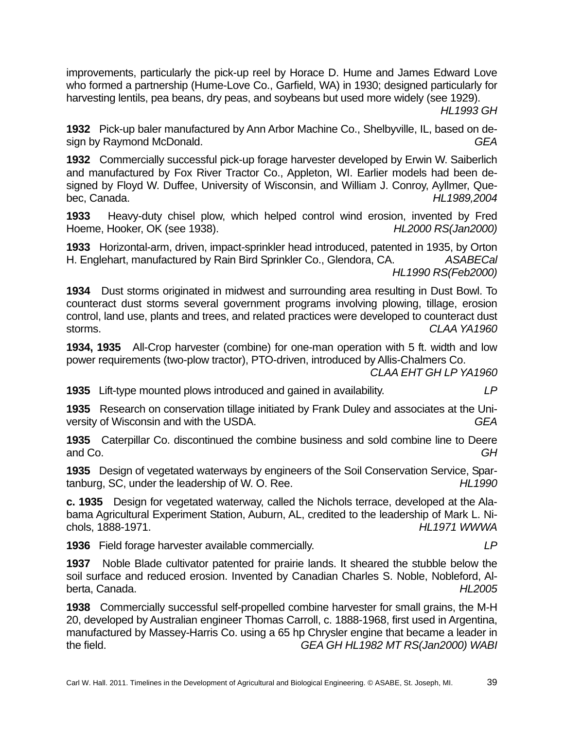improvements, particularly the pick-up reel by Horace D. Hume and James Edward Love who formed a partnership (Hume-Love Co., Garfield, WA) in 1930; designed particularly for harvesting lentils, pea beans, dry peas, and soybeans but used more widely (see 1929).

*HL1993 GH*

**1932** Pick-up baler manufactured by Ann Arbor Machine Co., Shelbyville, IL, based on design by Raymond McDonald. *GEA*

**1932** Commercially successful pick-up forage harvester developed by Erwin W. Saiberlich and manufactured by Fox River Tractor Co., Appleton, WI. Earlier models had been designed by Floyd W. Duffee, University of Wisconsin, and William J. Conroy, Ayllmer, Quebec, Canada. *HL1989,2004* 

**1933** Heavy-duty chisel plow, which helped control wind erosion, invented by Fred Hoeme, Hooker, OK (see 1938). *HL2000 RS(Jan2000)*

**1933** Horizontal-arm, driven, impact-sprinkler head introduced, patented in 1935, by Orton H. Englehart, manufactured by Rain Bird Sprinkler Co., Glendora, CA. *ASABECal HL1990 RS(Feb2000)*

**1934** Dust storms originated in midwest and surrounding area resulting in Dust Bowl. To counteract dust storms several government programs involving plowing, tillage, erosion control, land use, plants and trees, and related practices were developed to counteract dust storms. *CLAA YA1960*

**1934, 1935** All-Crop harvester (combine) for one-man operation with 5 ft. width and low power requirements (two-plow tractor), PTO-driven, introduced by Allis-Chalmers Co.

*CLAA EHT GH LP YA1960*

**1935** Lift-type mounted plows introduced and gained in availability. *LP*

**1935** Research on conservation tillage initiated by Frank Duley and associates at the University of Wisconsin and with the USDA. *GEA*

**1935** Caterpillar Co. discontinued the combine business and sold combine line to Deere and Co. *GH*

**1935** Design of vegetated waterways by engineers of the Soil Conservation Service, Spartanburg, SC, under the leadership of W. O. Ree. *HL1990*

**c. 1935** Design for vegetated waterway, called the Nichols terrace, developed at the Alabama Agricultural Experiment Station, Auburn, AL, credited to the leadership of Mark L. Nichols, 1888-1971. *HL1971 WWWA*

**1936** Field forage harvester available commercially. *LP*

**1937** Noble Blade cultivator patented for prairie lands. It sheared the stubble below the soil surface and reduced erosion. Invented by Canadian Charles S. Noble, Nobleford, Alberta, Canada. *HL2005*

**1938** Commercially successful self-propelled combine harvester for small grains, the M-H 20, developed by Australian engineer Thomas Carroll, c. 1888-1968, first used in Argentina, manufactured by Massey-Harris Co. using a 65 hp Chrysler engine that became a leader in the field. *GEA GH HL1982 MT RS(Jan2000) WABI*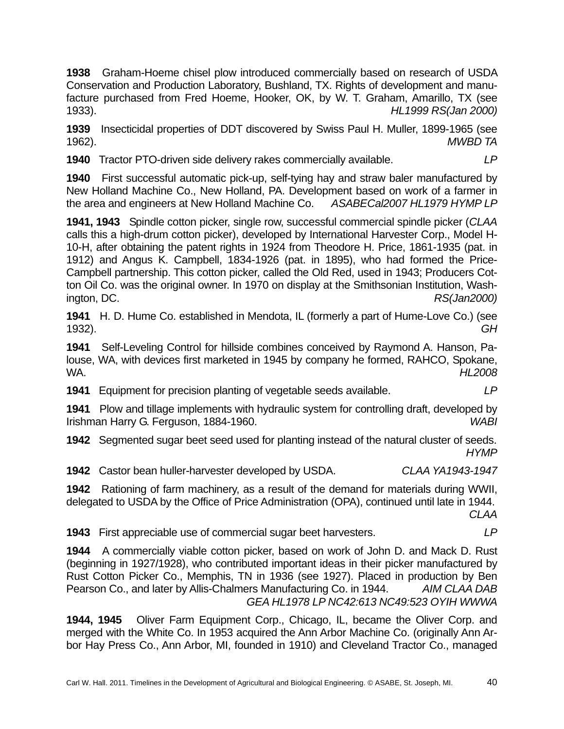**1938** Graham-Hoeme chisel plow introduced commercially based on research of USDA Conservation and Production Laboratory, Bushland, TX. Rights of development and manufacture purchased from Fred Hoeme, Hooker, OK, by W. T. Graham, Amarillo, TX (see 1933). *HL1999 RS(Jan 2000)*

**1939** Insecticidal properties of DDT discovered by Swiss Paul H. Muller, 1899-1965 (see 1962). *MWBD TA*

**1940** Tractor PTO-driven side delivery rakes commercially available. *LP*

**1940** First successful automatic pick-up, self-tying hay and straw baler manufactured by New Holland Machine Co., New Holland, PA. Development based on work of a farmer in the area and engineers at New Holland Machine Co. *ASABECal2007 HL1979 HYMP LP*

**1941, 1943** Spindle cotton picker, single row, successful commercial spindle picker (*CLAA* calls this a high-drum cotton picker), developed by International Harvester Corp., Model H-10-H, after obtaining the patent rights in 1924 from Theodore H. Price, 1861-1935 (pat. in 1912) and Angus K. Campbell, 1834-1926 (pat. in 1895), who had formed the Price-Campbell partnership. This cotton picker, called the Old Red, used in 1943; Producers Cotton Oil Co. was the original owner. In 1970 on display at the Smithsonian Institution, Washington, DC. *RS(Jan2000)*

**1941** H. D. Hume Co. established in Mendota, IL (formerly a part of Hume-Love Co.) (see 1932). *GH*

**1941** Self-Leveling Control for hillside combines conceived by Raymond A. Hanson, Palouse, WA, with devices first marketed in 1945 by company he formed, RAHCO, Spokane, WA. *HL2008*

**1941** Equipment for precision planting of vegetable seeds available. *LP*

**1941** Plow and tillage implements with hydraulic system for controlling draft, developed by Irishman Harry G. Ferguson, 1884-1960. *WABI*

**1942** Segmented sugar beet seed used for planting instead of the natural cluster of seeds. *HYMP*

**1942** Castor bean huller-harvester developed by USDA. *CLAA YA1943-1947*

**1942** Rationing of farm machinery, as a result of the demand for materials during WWII, delegated to USDA by the Office of Price Administration (OPA), continued until late in 1944.

*CLAA*

**1943** First appreciable use of commercial sugar beet harvesters. *LP*

**1944** A commercially viable cotton picker, based on work of John D. and Mack D. Rust (beginning in 1927/1928), who contributed important ideas in their picker manufactured by Rust Cotton Picker Co., Memphis, TN in 1936 (see 1927). Placed in production by Ben Pearson Co., and later by Allis-Chalmers Manufacturing Co. in 1944. *AIM CLAA DAB GEA HL1978 LP NC42:613 NC49:523 OYIH WWWA* 

**1944, 1945** Oliver Farm Equipment Corp., Chicago, IL, became the Oliver Corp. and merged with the White Co. In 1953 acquired the Ann Arbor Machine Co. (originally Ann Arbor Hay Press Co., Ann Arbor, MI, founded in 1910) and Cleveland Tractor Co., managed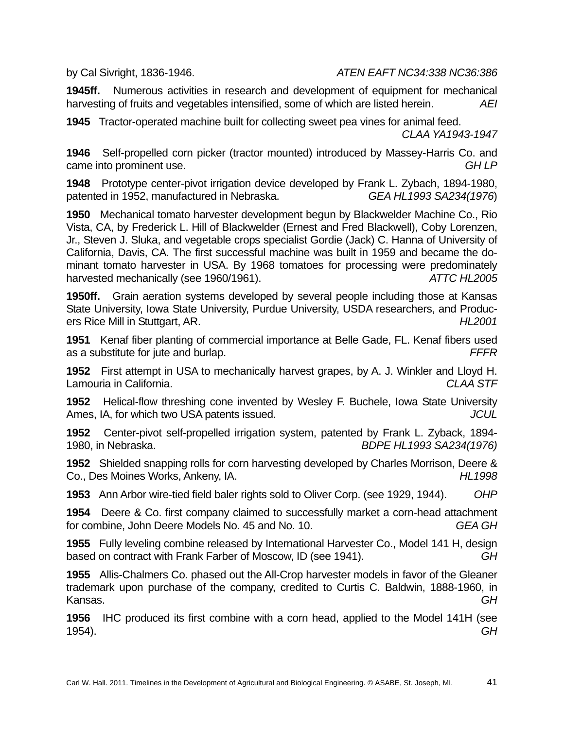by Cal Sivright, 1836-1946. *ATEN EAFT NC34:338 NC36:386*

**1945ff.** Numerous activities in research and development of equipment for mechanical harvesting of fruits and vegetables intensified, some of which are listed herein. *AEI*

**1945** Tractor-operated machine built for collecting sweet pea vines for animal feed. *CLAA YA1943-1947*

**1946** Self-propelled corn picker (tractor mounted) introduced by Massey-Harris Co. and came into prominent use. *GH LP* 

**1948** Prototype center-pivot irrigation device developed by Frank L. Zybach, 1894-1980, patented in 1952, manufactured in Nebraska. *GEA HL1993 SA234(1976*)

**1950** Mechanical tomato harvester development begun by Blackwelder Machine Co., Rio Vista, CA, by Frederick L. Hill of Blackwelder (Ernest and Fred Blackwell), Coby Lorenzen, Jr., Steven J. Sluka, and vegetable crops specialist Gordie (Jack) C. Hanna of University of California, Davis, CA. The first successful machine was built in 1959 and became the dominant tomato harvester in USA. By 1968 tomatoes for processing were predominately harvested mechanically (see 1960/1961). *ATTC HL2005* 

**1950ff.** Grain aeration systems developed by several people including those at Kansas State University, Iowa State University, Purdue University, USDA researchers, and Producers Rice Mill in Stuttgart, AR. *HL2001* 

**1951** Kenaf fiber planting of commercial importance at Belle Gade, FL. Kenaf fibers used as a substitute for jute and burlap. *FFFR* 

**1952** First attempt in USA to mechanically harvest grapes, by A. J. Winkler and Lloyd H. Lamouria in California. *CLAA STF*

**1952** Helical-flow threshing cone invented by Wesley F. Buchele, Iowa State University Ames, IA, for which two USA patents issued. *JCUL* 

**1952** Center-pivot self-propelled irrigation system, patented by Frank L. Zyback, 1894- 1980, in Nebraska. *BDPE HL1993 SA234(1976)*

**1952** Shielded snapping rolls for corn harvesting developed by Charles Morrison, Deere & Co., Des Moines Works, Ankeny, IA. *HL1998*

**1953** Ann Arbor wire-tied field baler rights sold to Oliver Corp. (see 1929, 1944). *OHP*

**1954** Deere & Co. first company claimed to successfully market a corn-head attachment for combine, John Deere Models No. 45 and No. 10. *GEA GH*

**1955** Fully leveling combine released by International Harvester Co., Model 141 H, design based on contract with Frank Farber of Moscow, ID (see 1941). *GH*

**1955** Allis-Chalmers Co. phased out the All-Crop harvester models in favor of the Gleaner trademark upon purchase of the company, credited to Curtis C. Baldwin, 1888-1960, in Kansas. *GH*

**1956** IHC produced its first combine with a corn head, applied to the Model 141H (see 1954). *GH*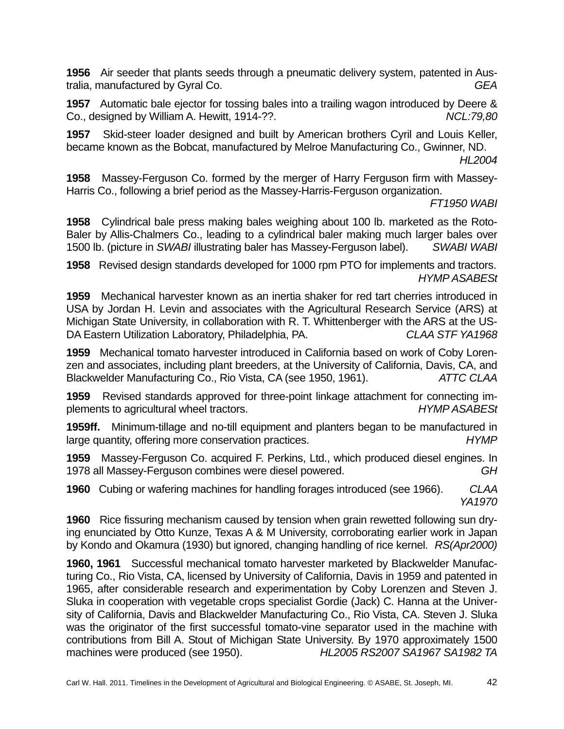**1956** Air seeder that plants seeds through a pneumatic delivery system, patented in Australia, manufactured by Gyral Co. *GEA*

**1957** Automatic bale ejector for tossing bales into a trailing wagon introduced by Deere & Co., designed by William A. Hewitt, 1914-??. *NCL:79,80*

**1957** Skid-steer loader designed and built by American brothers Cyril and Louis Keller, became known as the Bobcat, manufactured by Melroe Manufacturing Co., Gwinner, ND.

*HL2004*

**1958** Massey-Ferguson Co. formed by the merger of Harry Ferguson firm with Massey-Harris Co., following a brief period as the Massey-Harris-Ferguson organization.

*FT1950 WABI*

**1958** Cylindrical bale press making bales weighing about 100 lb. marketed as the Roto-Baler by Allis-Chalmers Co., leading to a cylindrical baler making much larger bales over 1500 lb. (picture in *SWABI* illustrating baler has Massey-Ferguson label). *SWABI WABI*

**1958** Revised design standards developed for 1000 rpm PTO for implements and tractors. *HYMP ASABESt*

**1959** Mechanical harvester known as an inertia shaker for red tart cherries introduced in USA by Jordan H. Levin and associates with the Agricultural Research Service (ARS) at Michigan State University, in collaboration with R. T. Whittenberger with the ARS at the US-DA Eastern Utilization Laboratory, Philadelphia, PA. *CLAA STF YA1968*

**1959** Mechanical tomato harvester introduced in California based on work of Coby Lorenzen and associates, including plant breeders, at the University of California, Davis, CA, and Blackwelder Manufacturing Co., Rio Vista, CA (see 1950, 1961). *ATTC CLAA*

**1959** Revised standards approved for three-point linkage attachment for connecting implements to agricultural wheel tractors. *HYMP ASABESt*

**1959ff.** Minimum-tillage and no-till equipment and planters began to be manufactured in large quantity, offering more conservation practices. *HYMP*

**1959** Massey-Ferguson Co. acquired F. Perkins, Ltd., which produced diesel engines. In 1978 all Massey-Ferguson combines were diesel powered. *GH*

**1960** Cubing or wafering machines for handling forages introduced (see 1966). *CLAA YA1970*

**1960** Rice fissuring mechanism caused by tension when grain rewetted following sun drying enunciated by Otto Kunze, Texas A & M University, corroborating earlier work in Japan by Kondo and Okamura (1930) but ignored, changing handling of rice kernel. *RS(Apr2000)*

**1960, 1961** Successful mechanical tomato harvester marketed by Blackwelder Manufacturing Co., Rio Vista, CA, licensed by University of California, Davis in 1959 and patented in 1965, after considerable research and experimentation by Coby Lorenzen and Steven J. Sluka in cooperation with vegetable crops specialist Gordie (Jack) C. Hanna at the University of California, Davis and Blackwelder Manufacturing Co., Rio Vista, CA. Steven J. Sluka was the originator of the first successful tomato-vine separator used in the machine with contributions from Bill A. Stout of Michigan State University. By 1970 approximately 1500 machines were produced (see 1950). *HL2005 RS2007 SA1967 SA1982 TA*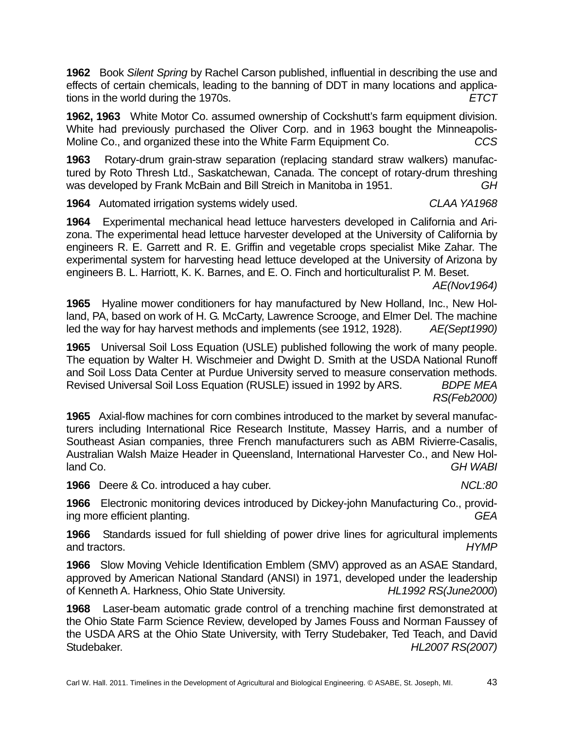**1962** Book *Silent Spring* by Rachel Carson published, influential in describing the use and effects of certain chemicals, leading to the banning of DDT in many locations and applications in the world during the 1970s. *ETCT*

**1962, 1963** White Motor Co. assumed ownership of Cockshutt's farm equipment division. White had previously purchased the Oliver Corp. and in 1963 bought the Minneapolis-Moline Co., and organized these into the White Farm Equipment Co. *CCS*

**1963** Rotary-drum grain-straw separation (replacing standard straw walkers) manufactured by Roto Thresh Ltd., Saskatchewan, Canada. The concept of rotary-drum threshing was developed by Frank McBain and Bill Streich in Manitoba in 1951. *GH*

**1964** Automated irrigation systems widely used. *CLAA YA1968*

**1964** Experimental mechanical head lettuce harvesters developed in California and Arizona. The experimental head lettuce harvester developed at the University of California by engineers R. E. Garrett and R. E. Griffin and vegetable crops specialist Mike Zahar. The experimental system for harvesting head lettuce developed at the University of Arizona by engineers B. L. Harriott, K. K. Barnes, and E. O. Finch and horticulturalist P. M. Beset.

*AE(Nov1964)*

**1965** Hyaline mower conditioners for hay manufactured by New Holland, Inc., New Holland, PA, based on work of H. G. McCarty, Lawrence Scrooge, and Elmer Del. The machine led the way for hay harvest methods and implements (see 1912, 1928). *AE(Sept1990)*

**1965** Universal Soil Loss Equation (USLE) published following the work of many people. The equation by Walter H. Wischmeier and Dwight D. Smith at the USDA National Runoff and Soil Loss Data Center at Purdue University served to measure conservation methods. Revised Universal Soil Loss Equation (RUSLE) issued in 1992 by ARS. *BDPE MEA RS(Feb2000)*

**1965** Axial-flow machines for corn combines introduced to the market by several manufacturers including International Rice Research Institute, Massey Harris, and a number of Southeast Asian companies, three French manufacturers such as ABM Rivierre-Casalis, Australian Walsh Maize Header in Queensland, International Harvester Co., and New Holland Co. *GH WABI*

**1966** Deere & Co. introduced a hay cuber. *NCL:80*

**1966** Electronic monitoring devices introduced by Dickey-john Manufacturing Co., providing more efficient planting. *GEA*

**1966** Standards issued for full shielding of power drive lines for agricultural implements and tractors. *HYMP*

**1966** Slow Moving Vehicle Identification Emblem (SMV) approved as an ASAE Standard, approved by American National Standard (ANSI) in 1971, developed under the leadership of Kenneth A. Harkness, Ohio State University. *HL1992 RS(June2000*)

**1968** Laser-beam automatic grade control of a trenching machine first demonstrated at the Ohio State Farm Science Review, developed by James Fouss and Norman Faussey of the USDA ARS at the Ohio State University, with Terry Studebaker, Ted Teach, and David Studebaker. *HL2007 RS(2007)*